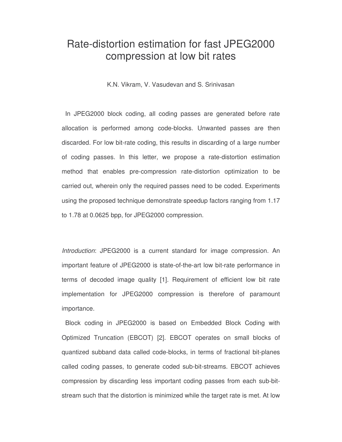# Rate-distortion estimation for fast JPEG2000 compression at low bit rates

K.N. Vikram, V. Vasudevan and S. Srinivasan

In JPEG2000 block coding, all coding passes are generated before rate allocation is performed among code-blocks. Unwanted passes are then discarded. For low bit-rate coding, this results in discarding of a large number of coding passes. In this letter, we propose a rate-distortion estimation method that enables pre-compression rate-distortion optimization to be carried out, wherein only the required passes need to be coded. Experiments using the proposed technique demonstrate speedup factors ranging from 1.17 to 1.78 at 0.0625 bpp, for JPEG2000 compression.

*Introduction*: JPEG2000 is a current standard for image compression. An important feature of JPEG2000 is state-of-the-art low bit-rate performance in terms of decoded image quality [1]. Requirement of efficient low bit rate implementation for JPEG2000 compression is therefore of paramount importance.

Block coding in JPEG2000 is based on Embedded Block Coding with Optimized Truncation (EBCOT) [2]. EBCOT operates on small blocks of quantized subband data called code-blocks, in terms of fractional bit-planes called coding passes, to generate coded sub-bit-streams. EBCOT achieves compression by discarding less important coding passes from each sub-bitstream such that the distortion is minimized while the target rate is met. At low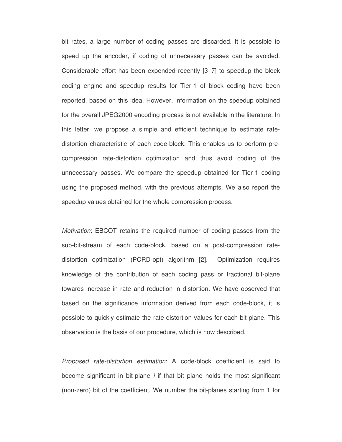bit rates, a large number of coding passes are discarded. It is possible to speed up the encoder, if coding of unnecessary passes can be avoided. Considerable effort has been expended recently [3−7] to speedup the block coding engine and speedup results for Tier-1 of block coding have been reported, based on this idea. However, information on the speedup obtained for the overall JPEG2000 encoding process is not available in the literature. In this letter, we propose a simple and efficient technique to estimate ratedistortion characteristic of each code-block. This enables us to perform precompression rate-distortion optimization and thus avoid coding of the unnecessary passes. We compare the speedup obtained for Tier-1 coding using the proposed method, with the previous attempts. We also report the speedup values obtained for the whole compression process.

*Motivation*: EBCOT retains the required number of coding passes from the sub-bit-stream of each code-block, based on a post-compression ratedistortion optimization (PCRD-opt) algorithm [2]. Optimization requires knowledge of the contribution of each coding pass or fractional bit-plane towards increase in rate and reduction in distortion. We have observed that based on the significance information derived from each code-block, it is possible to quickly estimate the rate-distortion values for each bit-plane. This observation is the basis of our procedure, which is now described.

*Proposed rate-distortion estimation*: A code-block coefficient is said to become significant in bit-plane *i* if that bit plane holds the most significant (non-zero) bit of the coefficient. We number the bit-planes starting from 1 for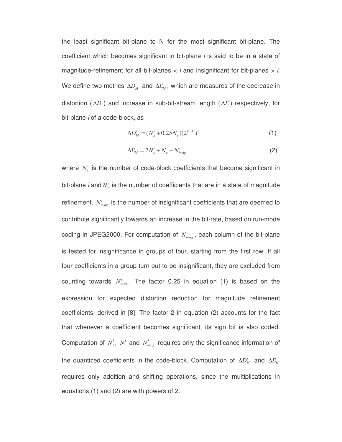the least significant bit-plane to N for the most significant bit-plane. The coefficient which becomes significant in bit-plane *i* is said to be in a state of magnitude-refinement for all bit-planes < *i* and insignificant for bit-planes > *i*. We define two metrics  $\Delta D_M^i$  and  $\Delta L_M^i$ , which are measures of the decrease in distortion ( $\Delta D^i$ ) and increase in sub-bit-stream length ( $\Delta L^i$ ) respectively, for bit-plane *i* of a code-block, as

$$
\Delta D_M^i = (N_s^i + 0.25 N_r^i)(2^{(i-1)})^2 \tag{1}
$$

$$
\Delta L_M^i = 2N_s^i + N_r^i + N_{insig}^i \tag{2}
$$

where  $N_s^i$  is the number of code-block coefficients that become significant in bit-plane *i* and  $N_r^i$  is the number of coefficients that are in a state of magnitude refinement.  $N_{insig}^i$  is the number of insignificant coefficients that are deemed to contribute significantly towards an increase in the bit-rate, based on run-mode coding in JPEG2000. For computation of  $N_{insig}^i$ , each column of the bit-plane is tested for insignificance in groups of four, starting from the first row. If all four coefficients in a group turn out to be insignificant, they are excluded from counting towards  $N^i_{\text{msg}}$ . The factor 0.25 in equation (1) is based on the expression for expected distortion reduction for magnitude refinement coefficients, derived in [8]. The factor 2 in equation (2) accounts for the fact that whenever a coefficient becomes significant, its sign bit is also coded. Computation of  $N_s^i$ ,  $N_r^i$  and  $N_{insig}^i$  requires only the significance information of the quantized coefficients in the code-block. Computation of  $\Delta D_M^i$  and  $\Delta L_M^i$ requires only addition and shifting operations, since the multiplications in equations (1) and (2) are with powers of 2.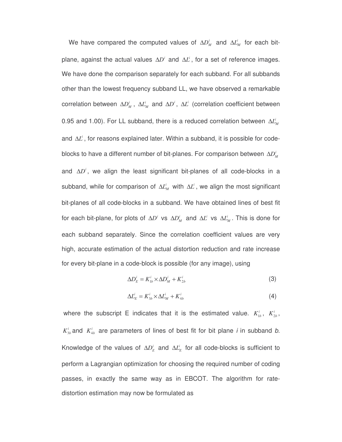We have compared the computed values of  $\Delta D_M^i$  and  $\Delta L_M^i$  for each bitplane, against the actual values  $\Delta D^i$  and  $\Delta L^i$ , for a set of reference images. We have done the comparison separately for each subband. For all subbands other than the lowest frequency subband LL, we have observed a remarkable  $i$  correlation between  $\Delta D_M^i$ ,  $\Delta L_M^i$  and  $\Delta D^i$ ,  $\Delta L^i$  (correlation coefficient between 0.95 and 1.00). For LL subband, there is a reduced correlation between  $\Delta L_M^i$ and ∆*L*<sup>*i*</sup>, for reasons explained later. Within a subband, it is possible for codeblocks to have a different number of bit-planes. For comparison between  $\Delta D_M^i$ and ∆*D<sup>i</sup>*, we align the least significant bit-planes of all code-blocks in a subband, while for comparison of  $\Delta L_M^i$  with  $\Delta L^i$ , we align the most significant bit-planes of all code-blocks in a subband. We have obtained lines of best fit for each bit-plane, for plots of  $\Delta D^i$  vs  $\Delta D^i_M$  and  $\Delta L^i$  vs  $\Delta L^i_M$ . This is done for each subband separately. Since the correlation coefficient values are very high, accurate estimation of the actual distortion reduction and rate increase for every bit-plane in a code-block is possible (for any image), using

$$
\Delta D_E^i = K_{1b}^i \times \Delta D_M^i + K_{2b}^i \tag{3}
$$

$$
\Delta L_E^i = K_{3b}^i \times \Delta L_M^i + K_{4b}^i \tag{4}
$$

where the subscript E indicates that it is the estimated value.  $K_{1b}^i$ ,  $K_{2b}^i$ ,  $K_{3b}^i$  and  $K_{4b}^i$  are parameters of lines of best fit for bit plane *i* in subband *b*. Knowledge of the values of  $\Delta D_E^i$  and  $\Delta L_E^i$  for all code-blocks is sufficient to perform a Lagrangian optimization for choosing the required number of coding passes, in exactly the same way as in EBCOT. The algorithm for ratedistortion estimation may now be formulated as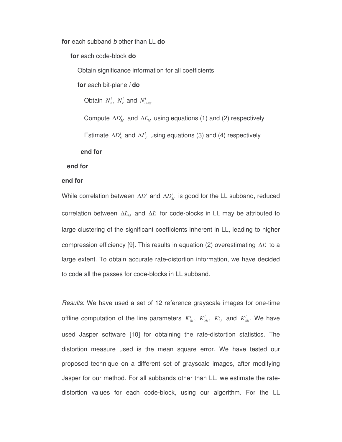**for** each subband *b* other than LL **do**

**for** each code-block **do**

Obtain significance information for all coefficients

**for** each bit-plane *i* **do**

Obtain  $N_s^i$ ,  $N_r^i$  and  $N_{insig}^i$ 

Compute  $\Delta D_M^i$  and  $\Delta L_M^i$  using equations (1) and (2) respectively

Estimate  $\Delta D_E^i$  and  $\Delta L_E^i$  using equations (3) and (4) respectively

#### **end for**

## **end for**

# **end for**

While correlation between  $\Delta D^i$  and  $\Delta D^i_M$  is good for the LL subband, reduced  $\bigcirc$ correlation between  $\Delta L_M^i$  and  $\Delta L^i$  for code-blocks in LL may be attributed to large clustering of the significant coefficients inherent in LL, leading to higher compression efficiency [9]. This results in equation (2) overestimating ∆L<sup>*i*</sup> to a large extent. To obtain accurate rate-distortion information, we have decided to code all the passes for code-blocks in LL subband.

*Results*: We have used a set of 12 reference grayscale images for one-time offline computation of the line parameters  $K_{1b}^i$ ,  $K_{2b}^i$ ,  $K_{3b}^i$  and  $K_{4b}^i$ . We have used Jasper software [10] for obtaining the rate-distortion statistics. The distortion measure used is the mean square error. We have tested our proposed technique on a different set of grayscale images, after modifying Jasper for our method. For all subbands other than LL, we estimate the ratedistortion values for each code-block, using our algorithm. For the LL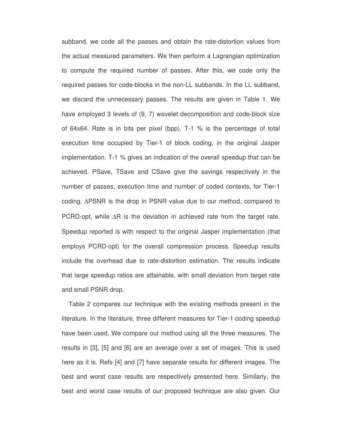subband, we code all the passes and obtain the rate-distortion values from the actual measured parameters. We then perform a Lagrangian optimization to compute the required number of passes. After this, we code only the required passes for code-blocks in the non-LL subbands. In the LL subband, we discard the unnecessary passes. The results are given in Table 1. We have employed 3 levels of (9, 7) wavelet decomposition and code-block size of 64x64. Rate is in bits per pixel (bpp). T-1 % is the percentage of total execution time occupied by Tier-1 of block coding, in the original Jasper implementation. T-1 % gives an indication of the overall speedup that can be achieved. PSave, TSave and CSave give the savings respectively in the number of passes, execution time and number of coded contexts, for Tier-1 coding. ∆PSNR is the drop in PSNR value due to our method, compared to PCRD-opt, while ∆R is the deviation in achieved rate from the target rate. Speedup reported is with respect to the original Jasper implementation (that employs PCRD-opt) for the overall compression process. Speedup results include the overhead due to rate-distortion estimation. The results indicate that large speedup ratios are attainable, with small deviation from target rate and small PSNR drop.

Table 2 compares our technique with the existing methods present in the literature. In the literature, three different measures for Tier-1 coding speedup have been used. We compare our method using all the three measures. The results in [3], [5] and [6] are an average over a set of images. This is used here as it is. Refs [4] and [7] have separate results for different images. The best and worst case results are respectively presented here. Similarly, the best and worst case results of our proposed technique are also given. Our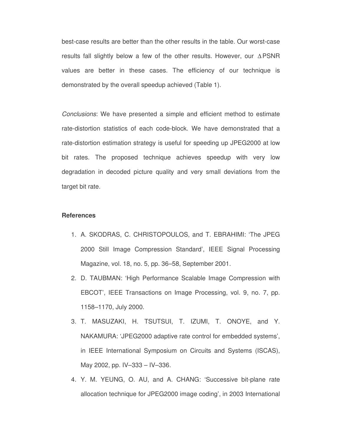best-case results are better than the other results in the table. Our worst-case results fall slightly below a few of the other results. However, our ∆PSNR values are better in these cases. The efficiency of our technique is demonstrated by the overall speedup achieved (Table 1).

*Conclusions*: We have presented a simple and efficient method to estimate rate-distortion statistics of each code-block. We have demonstrated that a rate-distortion estimation strategy is useful for speeding up JPEG2000 at low bit rates. The proposed technique achieves speedup with very low degradation in decoded picture quality and very small deviations from the target bit rate.

### **References**

- 1. A. SKODRAS, C. CHRISTOPOULOS, and T. EBRAHIMI: 'The JPEG 2000 Still Image Compression Standard', IEEE Signal Processing Magazine, vol. 18, no. 5, pp. 36–58, September 2001.
- 2. D. TAUBMAN: 'High Performance Scalable Image Compression with EBCOT', IEEE Transactions on Image Processing, vol. 9, no. 7, pp. 1158–1170, July 2000.
- 3. T. MASUZAKI, H. TSUTSUI, T. IZUMI, T. ONOYE, and Y. NAKAMURA: 'JPEG2000 adaptive rate control for embedded systems', in IEEE International Symposium on Circuits and Systems (ISCAS), May 2002, pp. IV–333 – IV–336.
- 4. Y. M. YEUNG, O. AU, and A. CHANG: 'Successive bit-plane rate allocation technique for JPEG2000 image coding', in 2003 International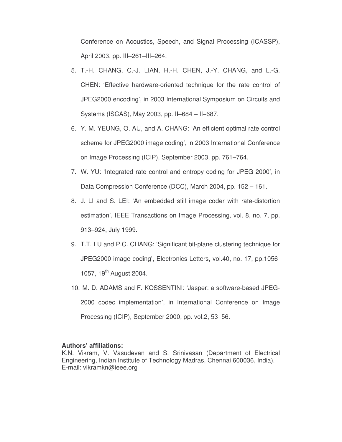Conference on Acoustics, Speech, and Signal Processing (ICASSP), April 2003, pp. III–261–III–264.

- 5. T.-H. CHANG, C.-J. LIAN, H.-H. CHEN, J.-Y. CHANG, and L.-G. CHEN: 'Effective hardware-oriented technique for the rate control of JPEG2000 encoding', in 2003 International Symposium on Circuits and Systems (ISCAS), May 2003, pp. II–684 – II–687.
- 6. Y. M. YEUNG, O. AU, and A. CHANG: 'An efficient optimal rate control scheme for JPEG2000 image coding', in 2003 International Conference on Image Processing (ICIP), September 2003, pp. 761–764.
- 7. W. YU: 'Integrated rate control and entropy coding for JPEG 2000', in Data Compression Conference (DCC), March 2004, pp. 152 – 161.
- 8. J. LI and S. LEI: 'An embedded still image coder with rate-distortion estimation', IEEE Transactions on Image Processing, vol. 8, no. 7, pp. 913–924, July 1999.
- 9. T.T. LU and P.C. CHANG: 'Significant bit-plane clustering technique for JPEG2000 image coding', Electronics Letters, vol.40, no. 17, pp.1056- 1057, 19<sup>th</sup> August 2004.
- 10. M. D. ADAMS and F. KOSSENTINI: 'Jasper: a software-based JPEG-2000 codec implementation', in International Conference on Image Processing (ICIP), September 2000, pp. vol.2, 53–56.

### **Authors' affiliations:**

K.N. Vikram, V. Vasudevan and S. Srinivasan (Department of Electrical Engineering, Indian Institute of Technology Madras, Chennai 600036, India). E-mail: vikramkn@ieee.org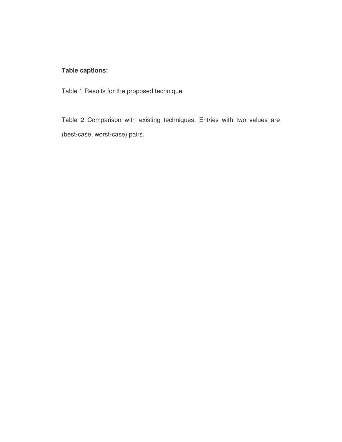# **Table captions:**

Table 1 Results for the proposed technique

Table 2 Comparison with existing techniques. Entries with two values are (best-case, worst-case) pairs.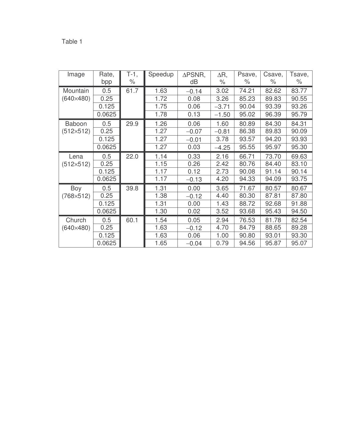| Image              | Rate,<br>bpp | T-1,<br>$\%$ | Speedup | $\triangle$ PSNR,<br>dB | $\Delta R$ ,<br>$\%$ | Psave,<br>% | Csave,<br>$\%$ | Tsave,<br>$\%$ |
|--------------------|--------------|--------------|---------|-------------------------|----------------------|-------------|----------------|----------------|
| Mountain           | 0.5          | 61.7         | 1.63    | $-0.14$                 | 3.02                 | 74.21       | 82.62          | 83.77          |
| $(640\times480)$   | 0.25         |              | 1.72    | 0.08                    | 3.26                 | 85.23       | 89.83          | 90.55          |
|                    | 0.125        |              | 1.75    | 0.06                    | $-3.71$              | 90.04       | 93.39          | 93.26          |
|                    | 0.0625       |              | 1.78    | 0.13                    | $-1.50$              | 95.02       | 96.39          | 95.79          |
| <b>Baboon</b>      | 0.5          | 29.9         | 1.26    | 0.06                    | 1.60                 | 80.89       | 84.30          | 84.31          |
| $(512\times512)$   | 0.25         |              | 1.27    | $-0.07$                 | $-0.81$              | 86.38       | 89.83          | 90.09          |
|                    | 0.125        |              | 1.27    | $-0.01$                 | 3.78                 | 93.57       | 94.20          | 93.93          |
|                    | 0.0625       |              | 1.27    | 0.03                    | $-4.25$              | 95.55       | 95.97          | 95.30          |
| Lena               | 0.5          | 22.0         | 1.14    | 0.33                    | 2.16                 | 66.71       | 73.70          | 69.63          |
| $(512\times512)$   | 0.25         |              | 1.15    | 0.26                    | 2.42                 | 80.76       | 84.40          | 83.10          |
|                    | 0.125        |              | 1.17    | 0.12                    | 2.73                 | 90.08       | 91.14          | 90.14          |
|                    | 0.0625       |              | 1.17    | $-0.13$                 | 4.20                 | 94.33       | 94.09          | 93.75          |
| Boy                | 0.5          | 39.8         | 1.31    | 0.00                    | 3.65                 | 71.67       | 80.57          | 80.67          |
| $(768 \times 512)$ | 0.25         |              | 1.38    | $-0.12$                 | 4.40                 | 80.30       | 87.81          | 87.80          |
|                    | 0.125        |              | 1.31    | 0.00                    | 1.43                 | 88.72       | 92.68          | 91.88          |
|                    | 0.0625       |              | 1.30    | 0.02                    | 3.52                 | 93.68       | 95.43          | 94.50          |
| Church             | 0.5          | 60.1         | 1.54    | 0.05                    | 2.94                 | 76.53       | 81.78          | 82.54          |
| $(640\times480)$   | 0.25         |              | 1.63    | $-0.12$                 | 4.70                 | 84.79       | 88.65          | 89.28          |
|                    | 0.125        |              | 1.63    | 0.06                    | 1.00                 | 90.80       | 93.01          | 93.30          |
|                    | 0.0625       |              | 1.65    | $-0.04$                 | 0.79                 | 94.56       | 95.87          | 95.07          |